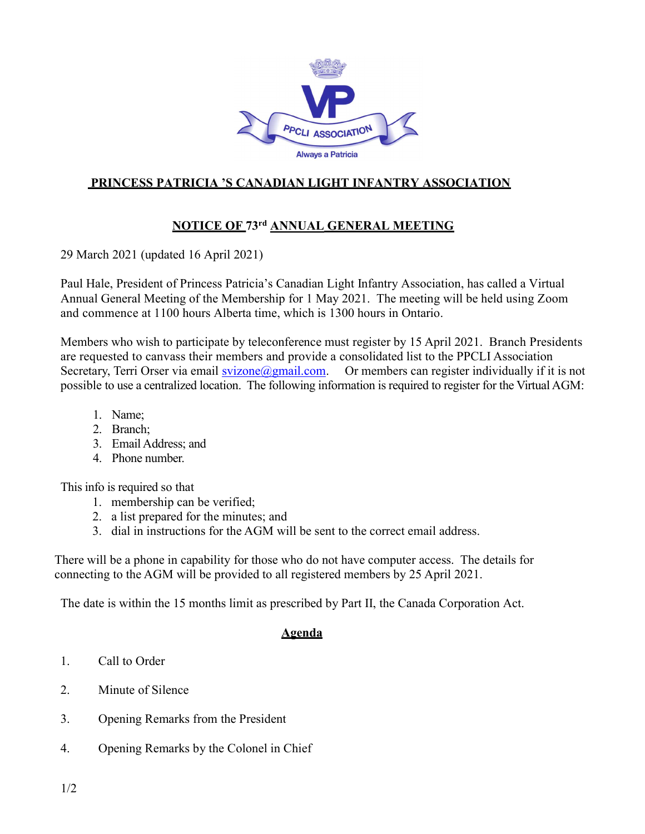

## PRINCESS PATRICIA 'S CANADIAN LIGHT INFANTRY ASSOCIATION

## NOTICE OF 73rd ANNUAL GENERAL MEETING

29 March 2021 (updated 16 April 2021)

Paul Hale, President of Princess Patricia's Canadian Light Infantry Association, has called a Virtual Annual General Meeting of the Membership for 1 May 2021. The meeting will be held using Zoom and commence at 1100 hours Alberta time, which is 1300 hours in Ontario.

Members who wish to participate by teleconference must register by 15 April 2021. Branch Presidents are requested to canvass their members and provide a consolidated list to the PPCLI Association Secretary, Terri Orser via email svizone@gmail.com. Or members can register individually if it is not possible to use a centralized location. The following information is required to register for the Virtual AGM:

- 1. Name;
- 2. Branch;
- 3. Email Address; and
- 4. Phone number.

This info is required so that

- 1. membership can be verified;
- 2. a list prepared for the minutes; and
- 3. dial in instructions for the AGM will be sent to the correct email address.

There will be a phone in capability for those who do not have computer access. The details for connecting to the AGM will be provided to all registered members by 25 April 2021.

The date is within the 15 months limit as prescribed by Part II, the Canada Corporation Act.

## Agenda

- 1. Call to Order
- 2. Minute of Silence
- 3. Opening Remarks from the President
- 4. Opening Remarks by the Colonel in Chief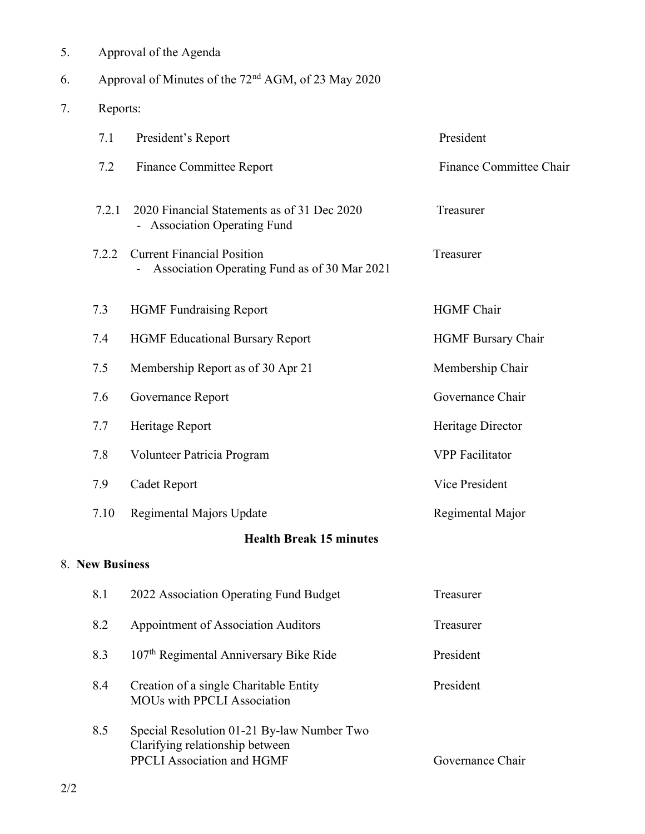| 7.                             | Reports: |                                                                                                             |                           |  |  |
|--------------------------------|----------|-------------------------------------------------------------------------------------------------------------|---------------------------|--|--|
|                                | 7.1      | President's Report                                                                                          | President                 |  |  |
|                                | 7.2      | <b>Finance Committee Report</b>                                                                             | Finance Committee Chair   |  |  |
|                                | 7.2.1    | 2020 Financial Statements as of 31 Dec 2020<br>- Association Operating Fund                                 | Treasurer                 |  |  |
|                                | 7.2.2    | <b>Current Financial Position</b><br>Association Operating Fund as of 30 Mar 2021                           | Treasurer                 |  |  |
|                                | 7.3      | <b>HGMF</b> Fundraising Report                                                                              | <b>HGMF</b> Chair         |  |  |
|                                | 7.4      | <b>HGMF Educational Bursary Report</b>                                                                      | <b>HGMF Bursary Chair</b> |  |  |
|                                | 7.5      | Membership Report as of 30 Apr 21                                                                           | Membership Chair          |  |  |
|                                | 7.6      | Governance Report                                                                                           | Governance Chair          |  |  |
|                                | 7.7      | Heritage Report                                                                                             | Heritage Director         |  |  |
|                                | 7.8      | Volunteer Patricia Program                                                                                  | <b>VPP</b> Facilitator    |  |  |
|                                | 7.9      | Cadet Report                                                                                                | Vice President            |  |  |
|                                | 7.10     | Regimental Majors Update                                                                                    | Regimental Major          |  |  |
| <b>Health Break 15 minutes</b> |          |                                                                                                             |                           |  |  |
| 8. New Business                |          |                                                                                                             |                           |  |  |
|                                | 8.1      | 2022 Association Operating Fund Budget                                                                      | Treasurer                 |  |  |
|                                | 8.2      | Appointment of Association Auditors                                                                         | Treasurer                 |  |  |
|                                | 8.3      | 107 <sup>th</sup> Regimental Anniversary Bike Ride                                                          | President                 |  |  |
|                                | 8.4      | Creation of a single Charitable Entity<br><b>MOUs with PPCLI Association</b>                                | President                 |  |  |
|                                | 8.5      | Special Resolution 01-21 By-law Number Two<br>Clarifying relationship between<br>PPCLI Association and HGMF | Governance Chair          |  |  |

## 5. Approval of the Agenda

6. Approval of Minutes of the 72nd AGM, of 23 May 2020